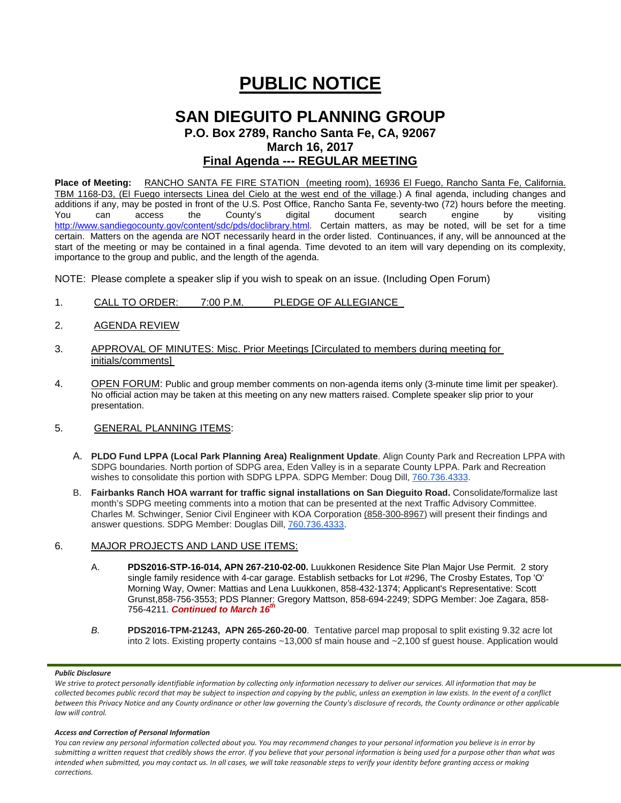# **PUBLIC NOTICE**

# **SAN DIEGUITO PLANNING GROUP P.O. Box 2789, Rancho Santa Fe, CA, 92067 March 16, 2017 Final Agenda --- REGULAR MEETING**

**Place of Meeting:** RANCHO SANTA FE FIRE STATION (meeting room), 16936 El Fuego, Rancho Santa Fe, California. TBM 1168-D3, (El Fuego intersects Linea del Cielo at the west end of the village.) A final agenda, including changes and additions if any, may be posted in front of the U.S. Post Office, Rancho Santa Fe, seventy-two (72) hours before the meeting. You can access the County's digital document search engine by visiting <http://www.sandiegocounty.gov/content/sdc/pds/doclibrary.html>. Certain matters, as may be noted, will be set for a time certain. Matters on the agenda are NOT necessarily heard in the order listed. Continuances, if any, will be announced at the start of the meeting or may be contained in a final agenda. Time devoted to an item will vary depending on its complexity, importance to the group and public, and the length of the agenda.

NOTE: Please complete a speaker slip if you wish to speak on an issue. (Including Open Forum)

- 1. CALL TO ORDER: 7:00 P.M. PLEDGE OF ALLEGIANCE
- 2. AGENDA REVIEW
- 3. APPROVAL OF MINUTES: Misc. Prior Meetings [Circulated to members during meeting for initials/comments]
- 4. OPEN FORUM: Public and group member comments on non-agenda items only (3-minute time limit per speaker). No official action may be taken at this meeting on any new matters raised. Complete speaker slip prior to your presentation.
- 5. GENERAL PLANNING ITEMS:
	- A. **PLDO Fund LPPA (Local Park Planning Area) Realignment Update**. Align County Park and Recreation LPPA with SDPG boundaries. North portion of SDPG area, Eden Valley is in a separate County LPPA. Park and Recreation wishes to consolidate this portion with SDPG LPPA. SDPG Member: Doug Dill, [760.736.4333.](tel:(760)%20736-4333)
	- B. **Fairbanks Ranch HOA warrant for traffic signal installations on San Dieguito Road.** Consolidate/formalize last month's SDPG meeting comments into a motion that can be presented at the next Traffic Advisory Committee. Charles M. Schwinger, Senior Civil Engineer with KOA Corporation [\(858-300-8967\)](tel:(858)%20300-8967) will present their findings and answer questions. SDPG Member: Douglas Dill, [760.736.4333.](tel:(760)%20736-4333)

### 6. MAJOR PROJECTS AND LAND USE ITEMS:

- A. **PDS2016-STP-16-014, APN 267-210-02-00.** Luukkonen Residence Site Plan Major Use Permit. 2 story single family residence with 4-car garage. Establish setbacks for Lot #296, The Crosby Estates, Top 'O' Morning Way, Owner: Mattias and Lena Luukkonen, [858-432-1374;](tel:858-432-1374) Applicant's Representative: Scott Gruns[t,858-756-3553;](tel:858-756-3553) PDS Planner: Gregory Mattson, [858-694-2249;](tel:858-694-2249) SDPG Member: Joe Zagara, [858-](tel:858-756-4211) [756-4211.](tel:858-756-4211) *Continued to March 16th*
- *B.* **PDS2016-TPM-21243, APN 265-260-20-00**. Tentative parcel map proposal to split existing 9.32 acre lot into 2 lots. Existing property contains ~13,000 sf main house and ~2,100 sf guest house. Application would

#### *Public Disclosure*

#### *Access and Correction of Personal Information*

*You can review any personal information collected about you. You may recommend changes to your personal information you believe is in error by submitting a written request that credibly shows the error. If you believe that your personal information is being used for a purpose other than what was intended when submitted, you may contact us. In all cases, we will take reasonable steps to verify your identity before granting access or making corrections.*

*We strive to protect personally identifiable information by collecting only information necessary to deliver our services. All information that may be collected becomes public record that may be subject to inspection and copying by the public, unless an exemption in law exists. In the event of a conflict between this Privacy Notice and any County ordinance or other law governing the County's disclosure of records, the County ordinance or other applicable law will control.*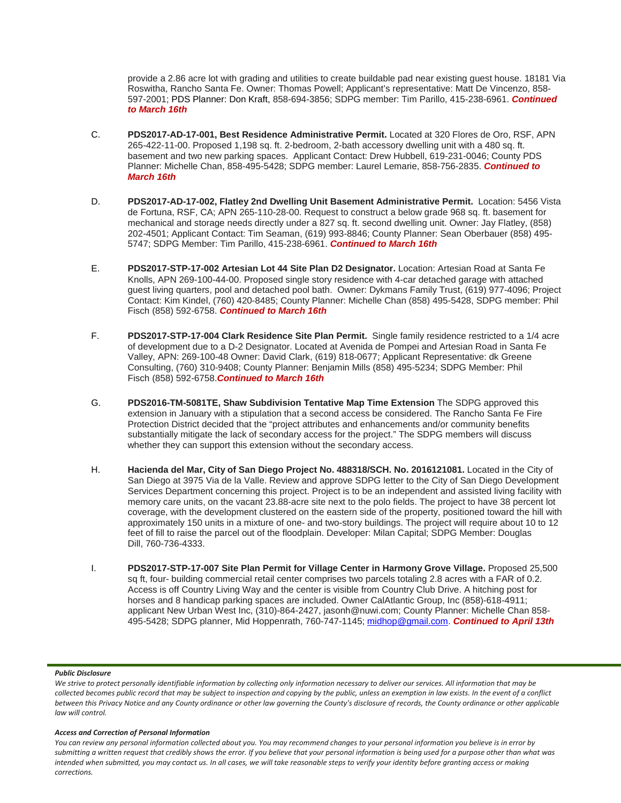provide a 2.86 acre lot with grading and utilities to create buildable pad near existing guest house. 18181 Via Roswitha, Rancho Santa Fe. Owner: Thomas Powell; Applicant's representative: Matt De Vincenzo, 858- 597-2001; PDS Planner: Don Kraft, 858-694-3856; SDPG member: Tim Parillo[, 415-238-6961.](tel:415-238-6961) *Continued to March 16th*

- C. **PDS2017-AD-17-001, Best Residence Administrative Permit.** Located at 320 Flores de Oro, RSF, APN 265-422-11-00. Proposed 1,198 sq. ft. 2-bedroom, 2-bath accessory dwelling unit with a 480 sq. ft. basement and two new parking spaces. Applicant Contact: Drew Hubbell, [619-231-0046;](tel:(619)%20231-0046) County PDS Planner: Michelle Chan, [858-495-5428;](tel:(858)%20495-5428) SDPG member: Laurel Lemarie, [858-756-2835.](tel:(858)%20756-2835) *Continued to March 16th*
- D. **PDS2017-AD-17-002, Flatley 2nd Dwelling Unit Basement Administrative Permit.** Location: 5456 Vista de Fortuna, RSF, CA; APN 265-110-28-00. Request to construct a below grade 968 sq. ft. basement for mechanical and storage needs directly under a 827 sq. ft. second dwelling unit. Owner: Jay Flatley, [\(858\)](tel:(858)%20202-4501)  [202-4501;](tel:(858)%20202-4501) Applicant Contact: Tim Seaman, [\(619\) 993-8846;](tel:(619)%20993-8846) County Planner: Sean Oberbauer [\(858\) 495-](tel:(858)%20495-5747) [5747;](tel:(858)%20495-5747) SDPG Member: Tim Parillo, [415-238-6961.](tel:(858)%20756-2835) *Continued to March 16th*
- E. **PDS2017-STP-17-002 Artesian Lot 44 Site Plan D2 Designator.** Location: Artesian Road at Santa Fe Knolls, APN 269-100-44-00. Proposed single story residence with 4-car detached garage with attached guest living quarters, pool and detached pool bath. Owner: Dykmans Family Trust, [\(619\) 977-4096;](tel:(619)%20977-4096) Project Contact: Kim Kindel, [\(760\) 420-8485;](tel:(760)%20420-8485) County Planner: Michelle Chan [\(858\) 495-5428,](tel:(858)%20495-5428) SDPG member: Phil Fisch [\(858\) 592-6758.](tel:(858)%20592-6758) *Continued to March 16th*
- F. **PDS2017-STP-17-004 Clark Residence Site Plan Permit.** Single family residence restricted to a 1/4 acre of development due to a D-2 Designator. Located at Avenida de Pompei and Artesian Road in Santa Fe Valley, APN: 269-100-48 Owner: David Clark, [\(619\) 818-0677;](tel:(619)%20818-0677) Applicant Representative: dk Greene Consulting, [\(760\) 310-9408;](tel:(760)%20310-9408) County Planner: Benjamin Mills [\(858\) 495-5234;](tel:(858)%20495-5234) SDPG Member: Phil Fisch [\(858\) 592-6758.](tel:(858)%20592-6758)*Continued to March 16th*
- G. **PDS2016-TM-5081TE, Shaw Subdivision Tentative Map Time Extension** The SDPG approved this extension in January with a stipulation that a second access be considered. The Rancho Santa Fe Fire Protection District decided that the "project attributes and enhancements and/or community benefits substantially mitigate the lack of secondary access for the project." The SDPG members will discuss whether they can support this extension without the secondary access.
- H. **Hacienda del Mar, City of San Diego Project No. 488318/SCH. No. [2016121081.](tel:(201)%20612-1081)** Located in the City of San Diego at 3975 Via de la Valle. Review and approve SDPG letter to the City of San Diego Development Services Department concerning this project. Project is to be an independent and assisted living facility with memory care units, on the vacant 23.88-acre site next to the polo fields. The project to have 38 percent lot coverage, with the development clustered on the eastern side of the property, positioned toward the hill with approximately 150 units in a mixture of one- and two-story buildings. The project will require about 10 to 12 feet of fill to raise the parcel out of the floodplain. Developer: Milan Capital; SDPG Member: Douglas Dill, [760-736-4333.](tel:(760)%20736-4333)
- I. **PDS2017-STP-17-007 Site Plan Permit for Village Center in Harmony Grove Village.** Proposed 25,500 sq ft, four- building commercial retail center comprises two parcels totaling 2.8 acres with a FAR of 0.2. Access is off Country Living Way and the center is visible from Country Club Drive. A hitching post for horses and 8 handicap parking spaces are included. Owner CalAtlantic Group, Inc (858)-618-4911; applicant New Urban West Inc, (310)-864-2427, [jasonh@nuwi.com;](mailto:jasonh@nuwi.com) County Planner: Michelle Chan 858- 495-5428; SDPG planner, Mid Hoppenrath, 760-747-1145; [midhop@gmail.com.](mailto:midhop@gmail.com) *Continued to April 13th*

#### *Public Disclosure*

#### *Access and Correction of Personal Information*

*You can review any personal information collected about you. You may recommend changes to your personal information you believe is in error by submitting a written request that credibly shows the error. If you believe that your personal information is being used for a purpose other than what was intended when submitted, you may contact us. In all cases, we will take reasonable steps to verify your identity before granting access or making corrections.*

*We strive to protect personally identifiable information by collecting only information necessary to deliver our services. All information that may be collected becomes public record that may be subject to inspection and copying by the public, unless an exemption in law exists. In the event of a conflict between this Privacy Notice and any County ordinance or other law governing the County's disclosure of records, the County ordinance or other applicable law will control.*